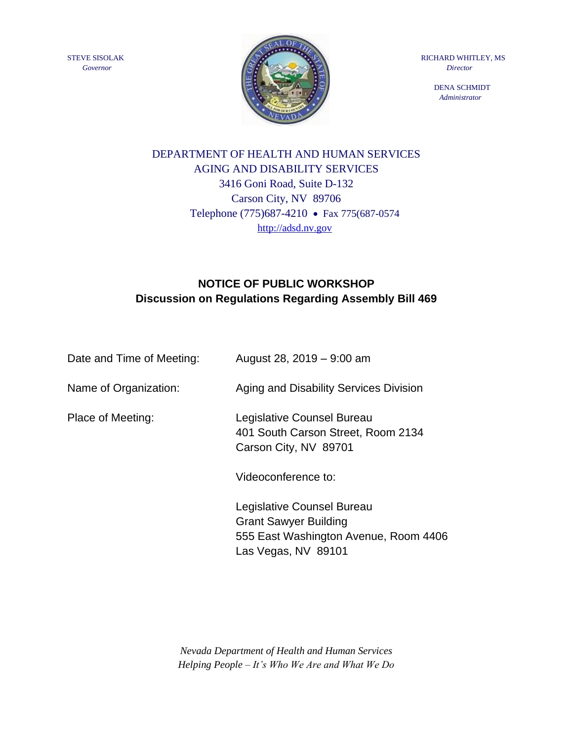STEVE SISOLAK *Governor*



RICHARD WHITLEY, MS  *Director* 

> DENA SCHMIDT  *Administrator*

# DEPARTMENT OF HEALTH AND HUMAN SERVICES AGING AND DISABILITY SERVICES 3416 Goni Road, Suite D-132 Carson City, NV 89706 Telephone (775)687-4210 • Fax 775(687-0574 [http://adsd.nv.gov](http://adsd.nv.gov/)

# **NOTICE OF PUBLIC WORKSHOP Discussion on Regulations Regarding Assembly Bill 469**

| Date and Time of Meeting: | August 28, 2019 - 9:00 am                                                                           |
|---------------------------|-----------------------------------------------------------------------------------------------------|
| Name of Organization:     | Aging and Disability Services Division                                                              |
| Place of Meeting:         | Legislative Counsel Bureau<br>401 South Carson Street, Room 2134<br>Carson City, NV 89701           |
|                           | Videoconference to:                                                                                 |
|                           | Legislative Counsel Bureau<br><b>Grant Sawyer Building</b><br>555 East Washington Avenue, Room 4406 |

*Nevada Department of Health and Human Services Helping People – It's Who We Are and What We Do*

Las Vegas, NV 89101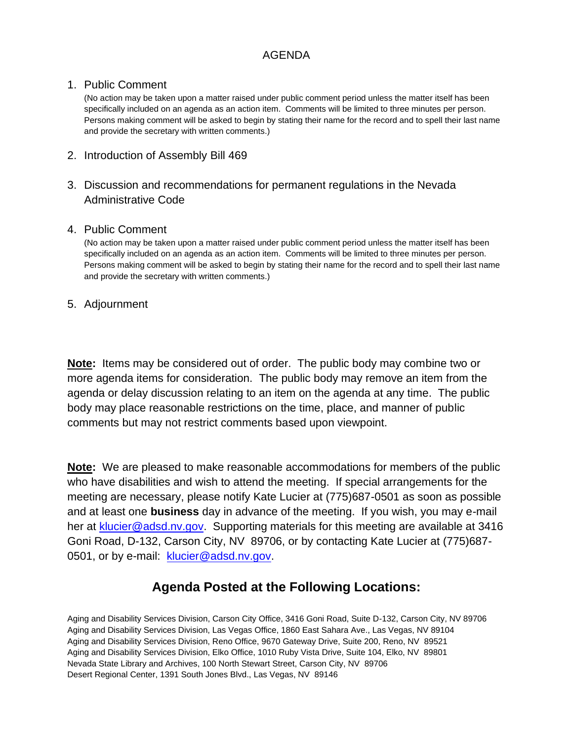### AGENDA

### 1. Public Comment

(No action may be taken upon a matter raised under public comment period unless the matter itself has been specifically included on an agenda as an action item. Comments will be limited to three minutes per person. Persons making comment will be asked to begin by stating their name for the record and to spell their last name and provide the secretary with written comments.)

- 2. Introduction of Assembly Bill 469
- 3. Discussion and recommendations for permanent regulations in the Nevada Administrative Code

#### 4. Public Comment

(No action may be taken upon a matter raised under public comment period unless the matter itself has been specifically included on an agenda as an action item. Comments will be limited to three minutes per person. Persons making comment will be asked to begin by stating their name for the record and to spell their last name and provide the secretary with written comments.)

### 5. Adjournment

**Note:** Items may be considered out of order. The public body may combine two or more agenda items for consideration. The public body may remove an item from the agenda or delay discussion relating to an item on the agenda at any time. The public body may place reasonable restrictions on the time, place, and manner of public comments but may not restrict comments based upon viewpoint.

**Note:** We are pleased to make reasonable accommodations for members of the public who have disabilities and wish to attend the meeting. If special arrangements for the meeting are necessary, please notify Kate Lucier at (775)687-0501 as soon as possible and at least one **business** day in advance of the meeting. If you wish, you may e-mail her at [klucier@adsd.nv.gov.](mailto:klucier@adsd.nv.gov) Supporting materials for this meeting are available at 3416 Goni Road, D-132, Carson City, NV 89706, or by contacting Kate Lucier at (775)687- 0501, or by e-mail: [klucier@adsd.nv.gov.](mailto:klucier@adsd.nv.gov)

## **Agenda Posted at the Following Locations:**

Aging and Disability Services Division, Carson City Office, 3416 Goni Road, Suite D-132, Carson City, NV 89706 Aging and Disability Services Division, Las Vegas Office, 1860 East Sahara Ave., Las Vegas, NV 89104 Aging and Disability Services Division, Reno Office, 9670 Gateway Drive, Suite 200, Reno, NV 89521 Aging and Disability Services Division, Elko Office, 1010 Ruby Vista Drive, Suite 104, Elko, NV 89801 Nevada State Library and Archives, 100 North Stewart Street, Carson City, NV 89706 Desert Regional Center, 1391 South Jones Blvd., Las Vegas, NV 89146